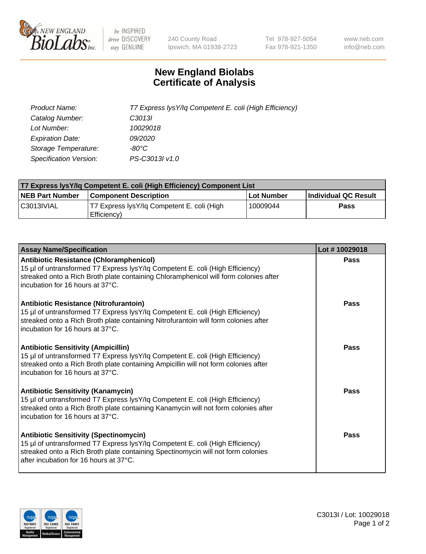

 $be$  INSPIRED drive DISCOVERY stay GENUINE

240 County Road Ipswich, MA 01938-2723 Tel 978-927-5054 Fax 978-921-1350 www.neb.com info@neb.com

## **New England Biolabs Certificate of Analysis**

| Product Name:           | T7 Express lysY/lq Competent E. coli (High Efficiency) |
|-------------------------|--------------------------------------------------------|
| Catalog Number:         | C <sub>3013</sub>                                      |
| Lot Number:             | 10029018                                               |
| <b>Expiration Date:</b> | <i>09/2020</i>                                         |
| Storage Temperature:    | -80°C                                                  |
| Specification Version:  | PS-C3013I v1.0                                         |

| T7 Express lysY/lq Competent E. coli (High Efficiency) Component List |                                                           |            |                      |  |
|-----------------------------------------------------------------------|-----------------------------------------------------------|------------|----------------------|--|
| <b>NEB Part Number</b>                                                | <b>Component Description</b>                              | Lot Number | Individual QC Result |  |
| C3013IVIAL                                                            | T7 Express lysY/lg Competent E. coli (High<br>Efficiency) | 10009044   | Pass                 |  |

| <b>Assay Name/Specification</b>                                                                                                                                                                                                                              | Lot #10029018 |
|--------------------------------------------------------------------------------------------------------------------------------------------------------------------------------------------------------------------------------------------------------------|---------------|
| <b>Antibiotic Resistance (Chloramphenicol)</b><br>15 µl of untransformed T7 Express lysY/lq Competent E. coli (High Efficiency)<br>streaked onto a Rich Broth plate containing Chloramphenicol will form colonies after<br>incubation for 16 hours at 37°C.  | Pass          |
| <b>Antibiotic Resistance (Nitrofurantoin)</b><br>15 µl of untransformed T7 Express lysY/lq Competent E. coli (High Efficiency)<br>streaked onto a Rich Broth plate containing Nitrofurantoin will form colonies after<br>incubation for 16 hours at 37°C.    | Pass          |
| <b>Antibiotic Sensitivity (Ampicillin)</b><br>15 µl of untransformed T7 Express lysY/lq Competent E. coli (High Efficiency)<br>streaked onto a Rich Broth plate containing Ampicillin will not form colonies after<br>incubation for 16 hours at 37°C.       | Pass          |
| <b>Antibiotic Sensitivity (Kanamycin)</b><br>15 µl of untransformed T7 Express lysY/lq Competent E. coli (High Efficiency)<br>streaked onto a Rich Broth plate containing Kanamycin will not form colonies after<br>incubation for 16 hours at 37°C.         | Pass          |
| <b>Antibiotic Sensitivity (Spectinomycin)</b><br>15 µl of untransformed T7 Express lysY/lq Competent E. coli (High Efficiency)<br>streaked onto a Rich Broth plate containing Spectinomycin will not form colonies<br>after incubation for 16 hours at 37°C. | Pass          |